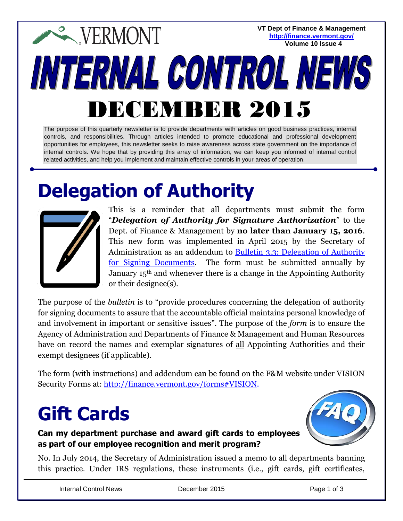**VT Dept of Finance & Management <http://finance.vermont.gov/> Volume 10 Issue 4**

# **EXPERMONT INTERNAL CONTROL NEWS** DECEMBER 2015

The purpose of this quarterly newsletter is to provide departments with articles on good business practices, internal controls, and responsibilities. Through articles intended to promote educational and professional development opportunities for employees, this newsletter seeks to raise awareness across state government on the importance of internal controls. We hope that by providing this array of information, we can keep you informed of internal control related activities, and help you implement and maintain effective controls in your areas of operation.

### **Delegation of Authority**



This is a reminder that all departments must submit the form "*Delegation of Authority for Signature Authorization*" to the Dept. of Finance & Management by **no later than January 15, 2016**. This new form was implemented in April 2015 by the Secretary of Administration as an addendum to [Bulletin 3.3: Delegation of Authority](http://aoa.vermont.gov/bulletins)  [for Signing Documents.](http://aoa.vermont.gov/bulletins) The form must be submitted annually by January 15th and whenever there is a change in the Appointing Authority or their designee(s).

The purpose of the *bulletin* is to "provide procedures concerning the delegation of authority for signing documents to assure that the accountable official maintains personal knowledge of and involvement in important or sensitive issues". The purpose of the *form* is to ensure the Agency of Administration and Departments of Finance & Management and Human Resources have on record the names and exemplar signatures of all Appointing Authorities and their exempt designees (if applicable).

The form (with instructions) and addendum can be found on the F&M website under VISION Security Forms at: [http://finance.vermont.gov/forms#VISION.](http://finance.vermont.gov/forms#VISION)

# **Gift Cards**

#### **Can my department purchase and award gift cards to employees as part of our employee recognition and merit program?**



No. In July 2014, the Secretary of Administration issued a memo to all departments banning this practice. Under IRS regulations, these instruments (i.e., gift cards, gift certificates,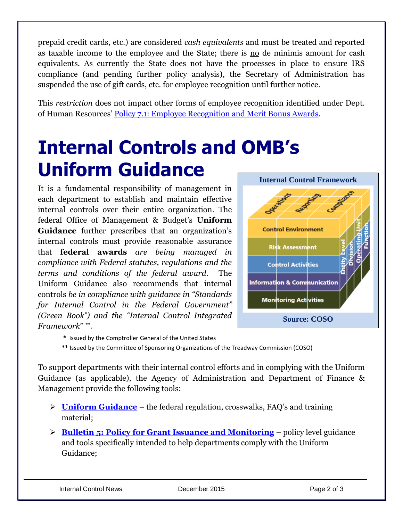prepaid credit cards, etc.) are considered *cash equivalents* and must be treated and reported as taxable income to the employee and the State; there is no de minimis amount for cash equivalents. As currently the State does not have the processes in place to ensure IRS compliance (and pending further policy analysis), the Secretary of Administration has suspended the use of gift cards, etc. for employee recognition until further notice.

This *restriction* does not impact other forms of employee recognition identified under Dept. of Human Resources' [Policy 7.1: Employee Recognition and Merit Bonus Awards.](http://humanresources.vermont.gov/policy/manual)

# **Internal Controls and OMB's Uniform Guidance**

It is a fundamental responsibility of management in each department to establish and maintain effective internal controls over their entire organization. The federal Office of Management & Budget's **Uniform Guidance** further prescribes that an organization's internal controls must provide reasonable assurance that **federal awards** *are being managed in compliance with Federal statutes, regulations and the terms and conditions of the federal award.* The Uniform Guidance also recommends that internal controls *be in compliance with guidance in "Standards for Internal Control in the Federal Government" (Green Book\*) and the "Internal Control Integrated Framework*" *\*\* .*



- **\*** Issued by the Comptroller General of the United States
- **\*\*** Issued by the Committee of Sponsoring Organizations of the Treadway Commission (COSO)

To support departments with their internal control efforts and in complying with the Uniform Guidance (as applicable), the Agency of Administration and Department of Finance & Management provide the following tools:

- **[Uniform Guidance](http://finance.vermont.gov/policies_procedures/uniform_guidance)** the federal regulation, crosswalks, FAQ's and training material;
- **[Bulletin 5: Policy for Grant Issuance and Monitoring](http://finance.vermont.gov/policies_procedures/Bulletin5)** policy level guidance and tools specifically intended to help departments comply with the Uniform Guidance;